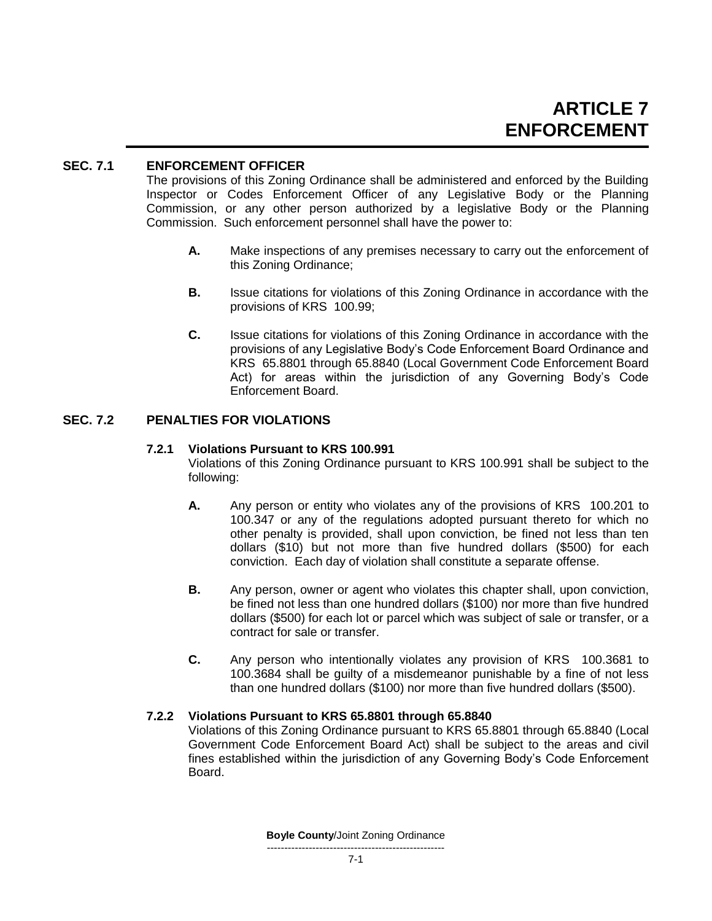# **SEC. 7.1 ENFORCEMENT OFFICER**

The provisions of this Zoning Ordinance shall be administered and enforced by the Building Inspector or Codes Enforcement Officer of any Legislative Body or the Planning Commission, or any other person authorized by a legislative Body or the Planning Commission. Such enforcement personnel shall have the power to:

- **A.** Make inspections of any premises necessary to carry out the enforcement of this Zoning Ordinance;
- **B.** Issue citations for violations of this Zoning Ordinance in accordance with the provisions of KRS 100.99;
- **C.** Issue citations for violations of this Zoning Ordinance in accordance with the provisions of any Legislative Body's Code Enforcement Board Ordinance and KRS 65.8801 through 65.8840 (Local Government Code Enforcement Board Act) for areas within the jurisdiction of any Governing Body's Code Enforcement Board.

# **SEC. 7.2 PENALTIES FOR VIOLATIONS**

### **7.2.1 Violations Pursuant to KRS 100.991**

Violations of this Zoning Ordinance pursuant to KRS 100.991 shall be subject to the following:

- **A.** Any person or entity who violates any of the provisions of KRS 100.201 to 100.347 or any of the regulations adopted pursuant thereto for which no other penalty is provided, shall upon conviction, be fined not less than ten dollars (\$10) but not more than five hundred dollars (\$500) for each conviction. Each day of violation shall constitute a separate offense.
- **B.** Any person, owner or agent who violates this chapter shall, upon conviction, be fined not less than one hundred dollars (\$100) nor more than five hundred dollars (\$500) for each lot or parcel which was subject of sale or transfer, or a contract for sale or transfer.
- **C.** Any person who intentionally violates any provision of KRS 100.3681 to 100.3684 shall be guilty of a misdemeanor punishable by a fine of not less than one hundred dollars (\$100) nor more than five hundred dollars (\$500).

## **7.2.2 Violations Pursuant to KRS 65.8801 through 65.8840**

Violations of this Zoning Ordinance pursuant to KRS 65.8801 through 65.8840 (Local Government Code Enforcement Board Act) shall be subject to the areas and civil fines established within the jurisdiction of any Governing Body's Code Enforcement Board.

**Boyle County**/Joint Zoning Ordinance